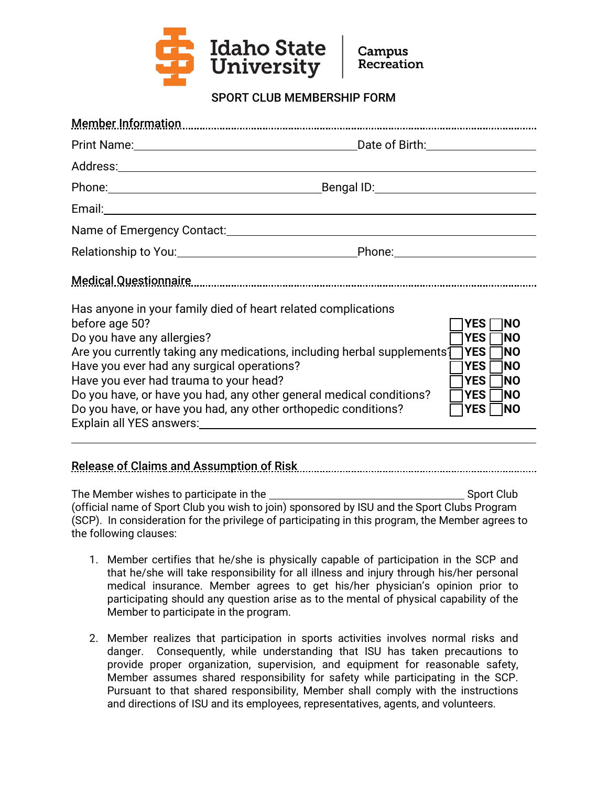

SPORT CLUB MEMBERSHIP FORM

| Print Name: <u>New York: Name:</u> New York: Name: New York: Name: New York: Name: New York: Name: New York: New York: New York: New York: New York: New York: New York: New York: New York: New York: New York: New York: New York                                                                                                                                                                                                                                                                                                                                                                                                  |  |  |
|--------------------------------------------------------------------------------------------------------------------------------------------------------------------------------------------------------------------------------------------------------------------------------------------------------------------------------------------------------------------------------------------------------------------------------------------------------------------------------------------------------------------------------------------------------------------------------------------------------------------------------------|--|--|
|                                                                                                                                                                                                                                                                                                                                                                                                                                                                                                                                                                                                                                      |  |  |
| Phone: Bengal ID:                                                                                                                                                                                                                                                                                                                                                                                                                                                                                                                                                                                                                    |  |  |
|                                                                                                                                                                                                                                                                                                                                                                                                                                                                                                                                                                                                                                      |  |  |
|                                                                                                                                                                                                                                                                                                                                                                                                                                                                                                                                                                                                                                      |  |  |
|                                                                                                                                                                                                                                                                                                                                                                                                                                                                                                                                                                                                                                      |  |  |
| Medical Questionnaire medicant control de la control de la control de la control de la control de la control d                                                                                                                                                                                                                                                                                                                                                                                                                                                                                                                       |  |  |
| Has anyone in your family died of heart related complications<br>before age 50?<br>1NO<br><b>YES</b><br>Do you have any allergies?<br><b>YES</b><br>1NO<br>Are you currently taking any medications, including herbal supplements [<br><b>TYES</b><br>1NO<br>Have you ever had any surgical operations?<br><b>YES</b><br>1NO<br>Have you ever had trauma to your head?<br><b>YES</b><br>1NO<br>Do you have, or have you had, any other general medical conditions?<br><b>TYES</b><br>1NO<br>Do you have, or have you had, any other orthopedic conditions?<br><b>YES</b><br>1NO<br>Explain all YES answers: Explain all YES answers: |  |  |

Release of Claims and Assumption of Risk

The Member wishes to participate in the Sport Club Sport Club (official name of Sport Club you wish to join) sponsored by ISU and the Sport Clubs Program (SCP). In consideration for the privilege of participating in this program, the Member agrees to the following clauses:

- 1. Member certifies that he/she is physically capable of participation in the SCP and that he/she will take responsibility for all illness and injury through his/her personal medical insurance. Member agrees to get his/her physician's opinion prior to participating should any question arise as to the mental of physical capability of the Member to participate in the program.
- 2. Member realizes that participation in sports activities involves normal risks and danger. Consequently, while understanding that ISU has taken precautions to provide proper organization, supervision, and equipment for reasonable safety, Member assumes shared responsibility for safety while participating in the SCP. Pursuant to that shared responsibility, Member shall comply with the instructions and directions of ISU and its employees, representatives, agents, and volunteers.